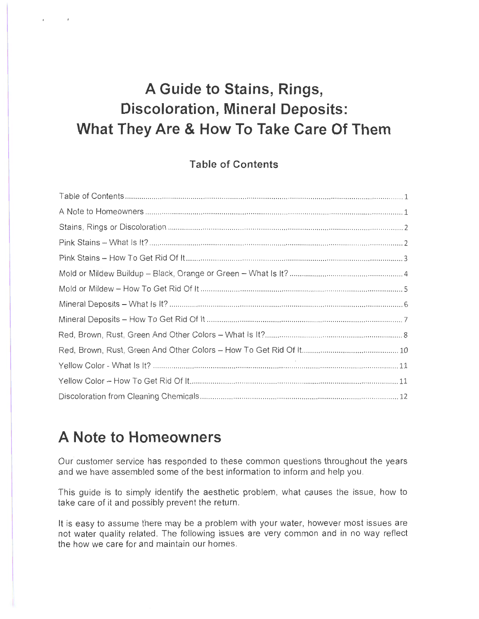# **A Guide to Stains, Rings, Discoloration, Mineral Deposits: What They Are & How To Take Care Of Them**

#### **Table of Contents**

# **A Note to Homeowners**

, ..

Our customer service has responded to these common questions throughout the years and we have assembled some of the best information to inform and help you .

This guide is to simply identify the aesthetic problem, what causes the issue, how to take care of it and possibly prevent the return.

It is easy to assume there may be a problem with your water, however most issues are not water quality related. The following issues are very common and in no way reflect the how we care for and maintain our homes.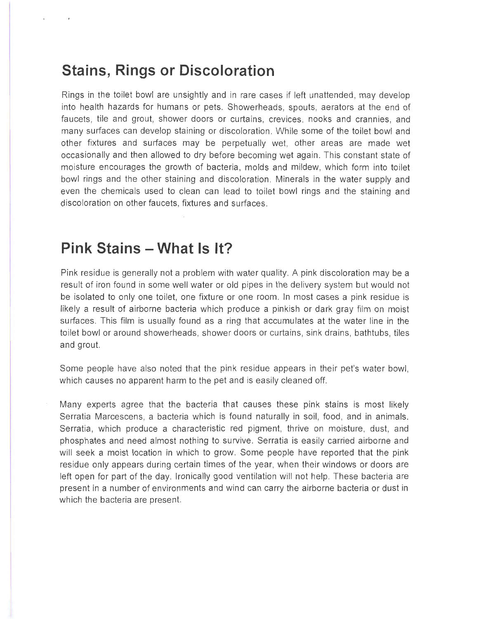#### **Stains, Rings or Discoloration**

Rings in the toilet bowl are unsightly and in rare cases if left unattended , may develop into health hazards for humans or pets. Showerheads, spouts, aerators at the end of faucets, tile and grout, shower doors or curtains, crevices, nooks and crannies, and many surfaces can develop staining or discoloration . While some of the toilet bowl and other fixtures and surfaces may be perpetually wet, other areas are made wet occasionally and then allowed to dry before becoming wet again . This constant state of moisture encourages the growth of bacteria, molds and mildew, which form into toilet bowl rings and the other staining and discoloration . Minerals in the water supply and even the chemicals used to clean can lead to toilet bowl rings and the staining and discoloration on other faucets, fixtures and surfaces.

#### **Pink Stains - What** Is It?

Pink residue is generally not a problem with water quality. A pink discoloration may be a result of iron found in some well water or old pipes in the delivery system but would not be isolated to only one toilet, one fixture or one room. In most cases a pink residue is likely a result of airborne bacteria which produce a pinkish or dark gray film on moist surfaces. This film is usually found as a ring that accumulates at the water line in the toilet bowl or around showerheads, shower doors or curtains, sink drains, bathtubs, tiles and grout.

Some people have also noted that the pink residue appears in their pet's water bowl, which causes no apparent harm to the pet and is easily cleaned off.

Many experts agree that the bacteria that causes these pink stains is most likely Serratia Marcescens, a bacteria which is found naturally in soil, food, and in animals. Serratia, which produce a characteristic red pigment, thrive on moisture, dust, and phosphates and need almost nothing to survive. Serratia is easily carried airborne and will seek a moist location in which to grow. Some people have reported that the pink residue only appears during certain times of the year, when their windows or doors are left open for part of the day. Ironically good ventilation will not help. These bacteria are present in a number of environments and wind can carry the airborne bacteria or dust in which the bacteria are present.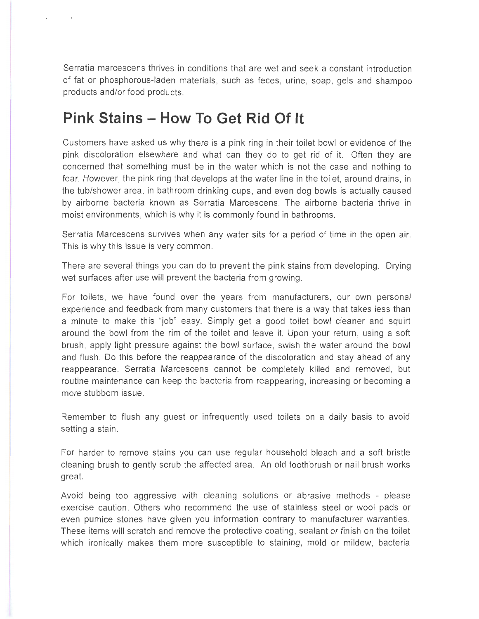Serratia marcescens thrives in conditions that are wet and seek a constant introduction of fat or phosphorous-laden materials , such as feces , urine, soap, gels and shampoo products and/or food products.

# **Pink Stains - How To Get Rid Of It**

Customers have asked us why there is a pink ring in their toilet bowl or evidence of the pink discoloration elsewhere and what can they do to get rid of it. Often they are concerned that something must be in the water which is not the case and nothing to fear. However, the pink ring that develops at the water line in the toilet, around drains, in the tub/shower area , in bathroom drinking cups, and even dog bowls is actually caused by airborne bacteria known as Serratia Marcescens. The airborne bacteria thrive in moist environments, which is why it is commonly found in bathrooms.

Serratia Marcescens survives when any water sits for a period of time in the open air. This is why this issue is very common.

There are several things you can do to prevent the pink stains from developing. Drying wet surfaces after use will prevent the bacteria from growing.

For toilets, we have found over the years from manufacturers, our own personal experience and feedback from many customers that there is a way that takes less than a minute to make this "job" easy. Simply get a good toilet bowl cleaner and squirt around the bowl from the rim of the toilet and leave it. Upon your return, using a soft brush , apply light pressure against the bowl surface, swish the water around the bowl and flush. Do this before the reappearance of the discoloration and stay ahead of any reappearance. Serratia Marcescens cannot be completely killed and removed, but routine maintenance can keep the bacteria from reappearing, increasing or becoming a more stubborn issue.

Remember to flush any guest or infrequently used toilets on a daily basis to avoid setting a stain.

For harder to remove stains you can use regular household bleach and a soft bristle cleaning brush to gently scrub the affected area. An old toothbrush or nail brush works great.

Avoid being too aggressive with cleaning solutions or abrasive methods - please exercise caution . Others who recommend the use of stainless steel or wool pads or even pumice stones have given you information contrary to manufacturer warranties . These items will scratch and remove the protective coating, sealant or finish on the toilet which ironically makes them more susceptible to staining, mold or mildew, bacteria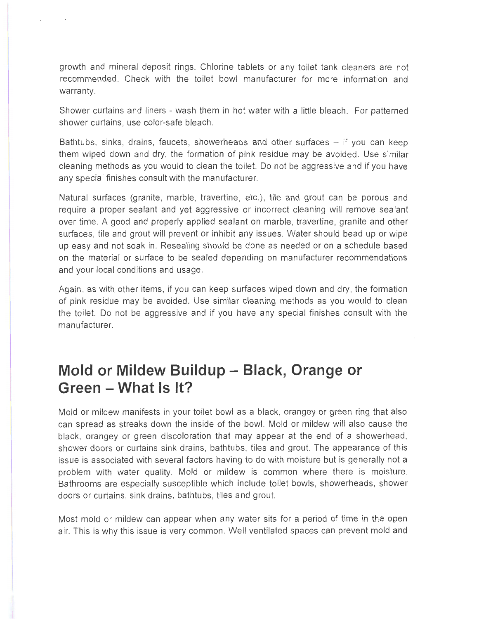growth and mineral deposit rings . Chlorine tablets or any toilet tank cleaners are not recommended . Check with the toilet bowl manufacturer for more information and warranty.

Shower curtains and liners - wash them in hot water with a little bleach . For patterned shower curtains, use color-safe bleach.

Bathtubs, sinks, drains, faucets, showerheads and other surfaces  $-$  if you can keep them wiped down and dry, the formation of pink residue may be avoided . Use similar cleaning methods as you would to clean the toilet. Do not be aggressive and if you have any special finishes consult with the manufacturer.

Natural surfaces (granite, marble, travertine, etc.), tile and grout can be porous and require a proper sealant and yet aggressive or incorrect cleaning will remove sealant over time. A good and properly applied sealant on marble, travertine, granite and other surfaces, tile and grout will prevent or inhibit any issues. Water should bead up or wipe up easy and not soak in. Resealing should be done as needed or on a schedule based on the material or surface to be sealed depending on manufacturer recommendations and your local conditions and usage.

Again , as with other items, if you can keep surfaces wiped down and dry, the formation of pink residue may be avoided. Use similar cleaning methods as you would to clean the toilet. Do not be aggressive and if you have any special finishes consult with the manufacturer.

# **Mold or Mildew Buildup - Black, Orange or Green - What** Is It?

Mold or mildew manifests in your toilet bowl as a black, orangey or green ring that also can spread as streaks down the inside of the bowl. Mold or mildew will also cause the black, orangey or green discoloration that may appear at the end of a showerhead , shower doors or curtains sink drains, bathtubs, tiles and grout. The appearance of this issue is associated with several factors having to do with moisture but is generally not a problem with water quality. Mold or mildew is common where there is moisture. Bathrooms are especially susceptible which include toilet bowls, showerheads, shower doors or curtains , sink drains, bathtubs, tiles and grout.

Most mold or mildew can appear when any water sits for a period of time in the open air. This is why this issue is very common . Well ventilated spaces can prevent mold and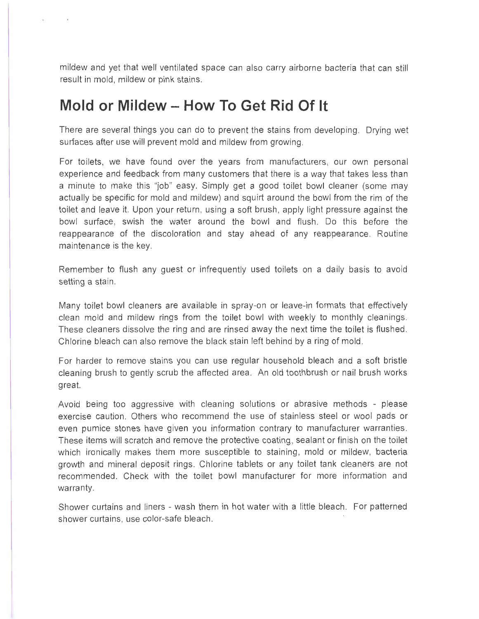mildew and yet that well ventilated space can also carry airborne bacteria that can still result in mold, mildew or pink stains.

# **Mold or Mildew - How To Get Rid Of It**

There are several things you can do to prevent the stains from developing. Drying wet surfaces after use will prevent mold and mildew from growing.

For toilets, we have found over the years from manufacturers, our own personal experience and feedback from many customers that there is a way that takes less than a minute to make this "job" easy. Simply get a good toilet bowl cleaner (some may actually be specific for mold and mildew) and squirt around the bowl from the rim of the toilet and leave it. Upon your return, using a soft brush, apply light pressure against the bowl surface, swish the water around the bowl and flush . Do this before the reappearance of the discoloration and stay ahead of any reappearance. Routine maintenance is the key.

Remember to flush any guest or infrequently used toilets on a daily basis to avoid setting a stain.

Many toilet bowl cleaners are available in spray-on or leave-in formats that effectively clean mold and mildew rings from the toilet bowl with weekly to monthly cleanings. These cleaners dissolve the ring and are rinsed away the next time the toilet is flushed . Chlorine bleach can also remove the black stain left behind by a ring of mold .

For harder to remove stains you can use regular household bleach and a soft bristle cleaning brush to gently scrub the affected area. An old toothbrush or nail brush works great.

Avoid being too aggressive with cleaning solutions or abrasive methods - please exercise caution. Others who recommend the use of stainless steel or wool pads or even pumice stones have given you information contrary to manufacturer warranties . These items will scratch and remove the protective coating, sealant or finish on the toilet which ironically makes them more susceptible to staining, mold or mildew, bacteria growth and mineral deposit rings. Chlorine tablets or any toilet tank cleaners are not recommended. Check with the toilet bowl manufacturer for more information and warranty.

Shower curtains and liners - wash them in hot water with a little bleach. For patterned shower curtains, use color-safe bleach.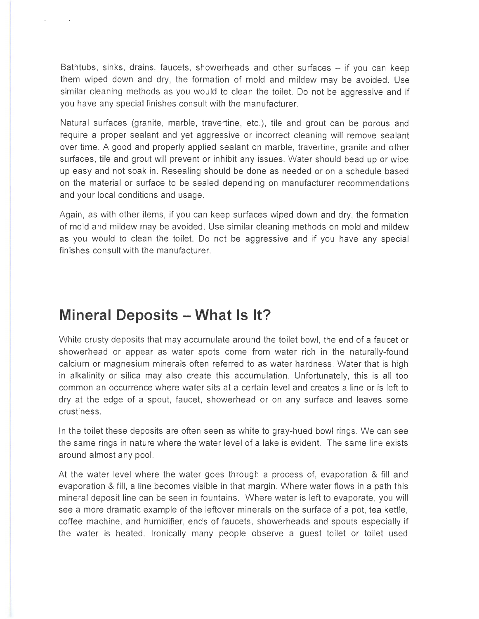Bathtubs, sinks, drains, faucets, showerheads and other surfaces  $-$  if you can keep them wiped down and dry, the formation of mold and mildew may be avoided. Use similar cleaning methods as you would to clean the toilet. Do not be aggressive and if you have any special finishes consult with the manufacturer.

Natural surfaces (granite, marble, travertine, etc.), tile and grout can be porous and require a proper sealant and yet aggressive or incorrect cleaning will remove sealant over time. A good and properly applied sealant on marble, travertine, granite and other surfaces, tile and grout will prevent or inhibit any issues. Water should bead up or wipe up easy and not soak in. Resealing should be done as needed or on a schedule based on the material or surface to be sealed depending on manufacturer recommendations and your local conditions and usage.

Again, as with other items, if you can keep surfaces wiped down and dry, the formation of mold and mildew may be avoided. Use similar cleaning methods on mold and mildew as you would to clean the toilet. Do not be aggressive and if you have any special finishes consult with the manufacturer.

### **Mineral Deposits - What** Is It?

White crusty deposits that may accumulate around the toilet bowl, the end of a faucet or showerhead or appear as water spots come from water rich in the naturally-found calcium or magnesium minerals often referred to as water hardness . Water that is high in alkalinity or silica may also create this accumulation . Unfortunately, this is all too common an occurrence where water sits at a certain level and creates a line or is left to dry at the edge of a spout, faucet, showerhead or on any surface and leaves some crustiness.

In the toilet these deposits are often seen as white to gray-hued bowl rings. We can see the same rings in nature where the water level of a lake is evident. The same line exists around almost any pool.

At the water level where the water goes through a process of, evaporation & fill and evaporation & fill, a line becomes visible in that margin. Where water flows in a path this mineral deposit line can be seen in fountains. Where water is left to evaporate, you will see a more dramatic example of the leftover minerals on the surface of a pot, tea kettle, coffee machine, and humidifier, ends of faucets , showerheads and spouts especially if the water is heated. Ironically many people observe a guest toilet or toilet used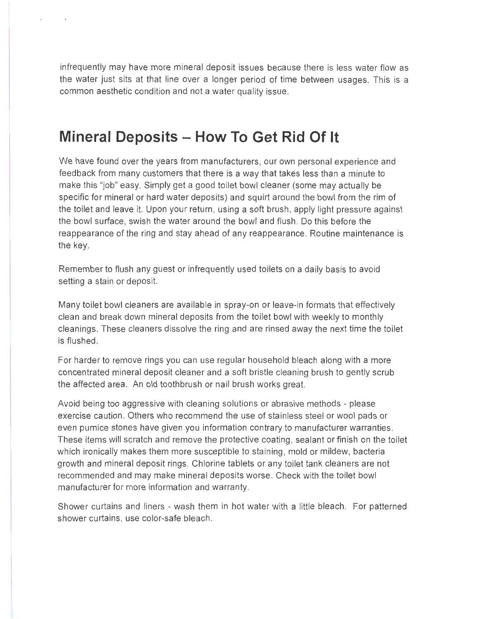infrequently may have more mineral deposit issues because there is less water flow as the water just sits at that line over a longer period of time between usages. This is a common aesthetic condition and not a water quality issue.

# **Mineral Deposits - How To Get Rid Of It**

We have found over the years from manufacturers, our own personal experience and feedback from many customers that there is a way that takes less than a minute to make this "job" easy. Simply get a good toilet bowl cleaner (some may actually be specific for mineral or hard water deposits) and squirt around the bowl from the rim of the toilet and leave it. Upon your return, using a soft brush, apply light pressure against the bowl surface, swish the water around the bowl and flush. Do this before the reappearance of the ring and stay ahead of any reappearance. Routine maintenance is the key.

Remember to flush any guest or infrequently used toilets on a daily basis to avoid setting a stain or deposit.

Many toilet bowl cleaners are available in spray-on or leave-in formats that effectively clean and break down mineral deposits from the toilet bowl with weekly to monthly cleanings. These cleaners dissolve the ring and are rinsed away the next time the toilet is flushed.

For harder to remove rings you can use regular household bleach along with a more concentrated mineral deposit cleaner and a soft bristle cleaning brush to gently scrub the affected area. An old toothbrush or nail brush works great.

Avoid being too aggressive with cleaning solutions or abrasive methods - please exercise caution. Others who recommend the use of stainless steel or wool pads or even pumice stones have given you information contrary to manufacturer warranties . These items will scratch and remove the protective coating , sealant or finish on the toilet which ironically makes them more susceptible to staining, mold or mildew, bacteria growth and mineral deposit rings. Chlorine tablets or any toilet tank cleaners are not recommended and may make mineral deposits worse . Check with the toilet bowl manufacturer for more information and warranty.

Shower curtains and liners - wash them in hot water with a little bleach . For patterned shower curtains, use color-safe bleach .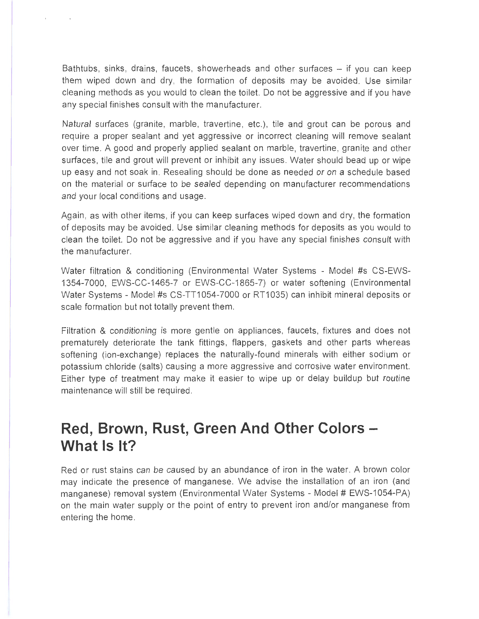Bathtubs, sinks, drains, faucets, showerheads and other surfaces  $-$  if you can keep them wiped down and dry, the formation of deposits may be avoided . Use similar cleaning methods as you would to clean the toilet. Do not be aggressive and if you have any special finishes consult with the manufacturer.

Natural surfaces (granite, marble, travertine, etc.), tile and grout can be porous and require a proper sealant and yet aggressive or incorrect cleaning will remove sealant over time. A good and properly applied sealant on marble, travertine, granite and other surfaces , tile and grout will prevent or inhibit any issues. Water should bead up or wipe up easy and not soak in . Resealing should be done as needed or on a schedule based on the material or surface to be sealed depending on manufacturer recommendations and your local conditions and usage.

Again, as with other items, if you can keep surfaces wiped down and dry, the formation of deposits may be avoided . Use similar cleaning methods for deposits as you would to clean the toilet. Do not be aggressive and if you have any special finishes consult with the manufacturer.

Water filtration & conditioning (Environmental Water Systems - Model #s CS-EWS-1354-7000, EWS-CC-1465-7 or EWS-CC-1865-7) or water softening (Environmental Water Systems - Model #s CS-TT1054-7000 or RT1035) can inhibit mineral deposits or scale formation but not totally prevent them.

Filtration & conditioning is more gentle on appliances, faucets, fixtures and does not prematurely deteriorate the tank fittings, flappers, gaskets and other parts whereas softening (ion-exchange) replaces the naturally-found minerals with either sodium or potassium chloride (salts) causing a more aggressive and corrosive water environment. Either type of treatment may make it easier to wipe up or delay buildup but routine maintenance will still be required.

# Red, Brown, Rust, Green And Other Colors -**What** Is It?

Red or rust stains can be caused by an abundance of iron in the water. A brown color may indicate the presence of manganese. We advise the installation of an iron (and manganese) removal system (Environmental Water Systems - Model # EWS-1054-PA) on the main water supply or the point of entry to prevent iron and/or manganese from entering the home.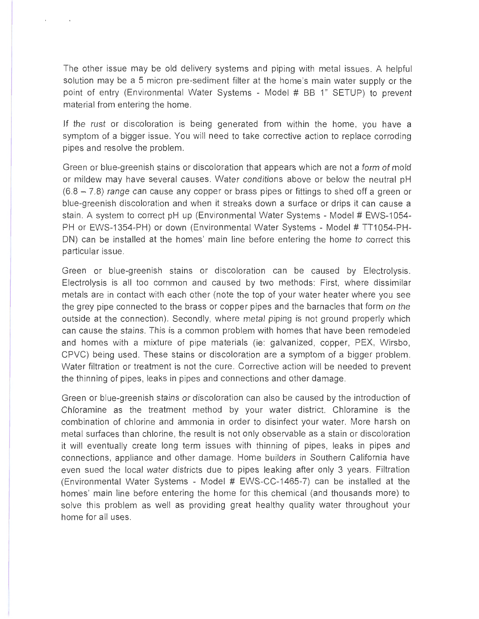The other issue may be old delivery systems and piping with metal issues . A helpful solution may be a 5 micron pre-sediment filter at the home's main water supply or the point of entry (Environmental Water Systems - Model # BB 1" SETUP) to prevent material from entering the home.

If the rust or discoloration is being generated from within the home, you have a symptom of a bigger issue. You will need to take corrective action to replace corroding pipes and resolve the problem.

Green or blue-greenish stains or discoloration that appears which are not a form of mold or mildew may have several causes. Water conditions above or below the neutral pH  $(6.8 - 7.8)$  range can cause any copper or brass pipes or fittings to shed off a green or blue-greenish discoloration and when it streaks down a surface or drips it can cause a stain. A system to correct pH up (Environmental Water Systems - Model # EWS-1054-PH or EWS-1354-PH) or down (Environmental Water Systems - Model # TT1054-PH-DN) can be installed at the homes' main line before entering the home to correct this particular issue.

Green or blue-greenish stains or discoloration can be caused by Electrolysis. Electrolysis is all too common and caused by two methods: First, where dissimilar metals are in contact with each other (note the top of your water heater where you see the grey pipe connected to the brass or copper pipes and the barnacles that form on the outside at the connection). Secondly, where metal piping is not ground properly which can cause the stains. This is a common problem with homes that have been remodeled and homes with a mixture of pipe materials (ie: galvanized, copper, PEX, Wirsbo, CPVC) being used. These stains or discoloration are a symptom of a bigger problem. Water filtration or treatment is not the cure . Corrective action will be needed to prevent the thinning of pipes, leaks in pipes and connections and other damage.

Green or blue-greenish stains or discoloration can also be caused by the introduction of Chloramine as the treatment method by your water district. Chloramine is the combination of chlorine and ammonia in order to disinfect your water. More harsh on metal surfaces than chlorine, the result is not only observable as a stain or discoloration it will eventually create long term issues with thinning of pipes, leaks in pipes and connections, appliance and other damage. Home builders in Southern California have even sued the local water districts due to pipes leaking after only 3 years . Filtration (Environmental Water Systems - Model # EWS-CC-1465-7) can be installed at the homes' main line before entering the home for this chemical (and thousands more) to solve this problem as well as providing great healthy quality water throughout your home for all uses.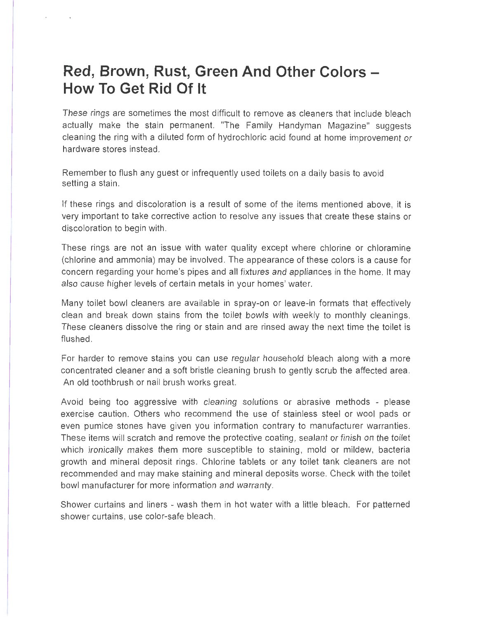# **Red, Brown, Rust, Green And Other Colors How To Get Rid Of It**

These rings are sometimes the most difficult to remove as cleaners that include bleach actually make the stain permanent. "The Family Handyman Magazine" suggests cleaning the ring with a diluted form of hydrochloric acid found at home improvement or hardware stores instead.

Remember to flush any guest or infrequently used toilets on a daily basis to avoid setting a stain.

If these rings and discoloration is a result of some of the items mentioned above, it is very important to take corrective action to resolve any issues that create these stains or discoloration to begin with.

These rings are not an issue with water quality except where chlorine or chloramine (chlorine and ammonia) may be involved. The appearance of these colors is a cause for concern regarding your home's pipes and all fixtures and appliances in the home. It may also cause higher levels of certain metals in your homes' water.

Many toilet bowl cleaners are available in spray-on or leave-in formats that effectively clean and break down stains from the toilet bowls with weekly to monthly cleanings. These cleaners dissolve the ring or stain and are rinsed away the next time the toilet is flushed.

For harder to remove stains you can use regular household bleach along with a more concentrated cleaner and a soft bristle cleaning brush to gently scrub the affected area. An old toothbrush or nail brush works great.

Avoid being too aggressive with cleaning solutions or abrasive methods - please exercise caution. Others who recommend the use of stainless steel or wool pads or even pumice stones have given you information contrary to manufacturer warranties. These items will scratch and remove the protective coating, sealant or finish on the toilet which ironically makes them more susceptible to staining, mold or mildew, bacteria growth and mineral deposit rings . Chlorine tablets or any toilet tank cleaners are not recommended and may make staining and mineral deposits worse. Check with the toilet bowl manufacturer for more information and warranty.

Shower curtains and liners - wash them in hot water with a little bleach. For patterned shower curtains, use color-safe bleach.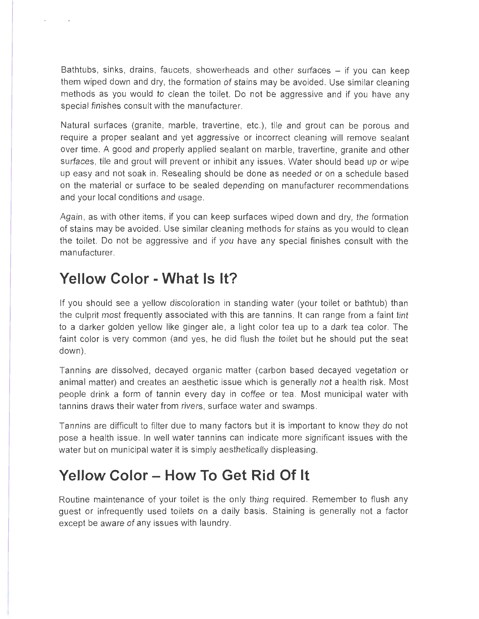Bathtubs, sinks, drains, faucets, showerheads and other surfaces  $-$  if you can keep them wiped down and dry, the formation of stains may be avoided. Use similar cleaning methods as you would to clean the toilet. Do not be aggressive and if you have any special finishes consult with the manufacturer.

Natural surfaces (granite, marble, travertine, etc.), tile and grout can be porous and require a proper sealant and yet aggressive or incorrect cleaning will remove sealant over time. A good and properly applied sealant on marble, travertine, granite and other surfaces, tile and grout will prevent or inhibit any issues . Water should bead up or wipe up easy and not soak in . Resealing should be done as needed or on a schedule based on the material or surface to be sealed depending on manufacturer recommendations and your local conditions and usage.

Again , as with other items, if you can keep surfaces wiped down and dry, the formation of stains may be avoided. Use similar cleaning methods for stains as you would to clean the toilet. Do not be aggressive and if you have any special finishes consult with the manufacturer.

### **Yellow Color - What Is It?**

If you should see a yellow discoloration in standing water (your toilet or bathtub) than the culprit most frequently associated with this are tannins . It can range from a faint tint to a darker golden yellow like ginger ale, a light color tea up to a dark tea color. The faint color is very common (and yes, he did flush the toilet but he should put the seat down).

Tannins are dissolved, decayed organic matter (carbon based decayed vegetation or animal matter) and creates an aesthetic issue which is generally not a health risk . Most people drink a form of tannin every day in coffee or tea . Most municipal water with tannins draws their water from rivers, surface water and swamps.

Tannins are difficult to filter due to many factors but it is important to know they do not pose a health issue. In well water tannins can indicate more significant issues with the water but on municipal water it is simply aesthetically displeasing.

# **Yellow Color - How To Get Rid Of It**

Routine maintenance of your toilet is the only thing required. Remember to flush any guest or infrequently used toilets on a daily basis. Staining is generally not a factor except be aware of any issues with laundry.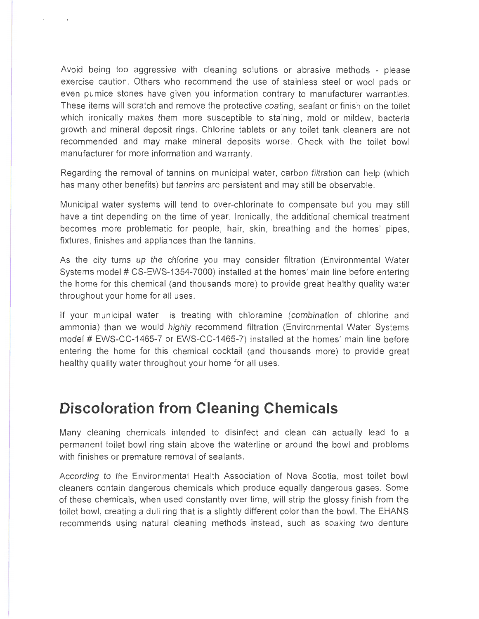Avoid being too aggressive with cleaning solutions or abrasive methods - please exercise caution . Others who recommend the use of stainless steel or wool pads or even pumice stones have given you information contrary to manufacturer warranties . These items will scratch and remove the protective coating , sealant or finish on the toilet which ironically makes them more susceptible to staining , mold or mildew, bacteria growth and mineral deposit rings. Chlorine tablets or any toilet tank cleaners are not recommended and may make mineral deposits worse. Check with the toilet bowl manufacturer for more information and warranty.

Regarding the removal of tannins on municipal water, carbon filtration can help (which has many other benefits) but tannins are persistent and may still be observable.

Municipal water systems will tend to over-chlorinate to compensate but you may still have a tint depending on the time of year. Ironically, the additional chemical treatment becomes more problematic for people, hair, skin, breathing and the homes' pipes, fixtures, finishes and appliances than the tannins .

As the city turns up the chlorine you may consider filtration (Environmental Water Systems model # CS-EWS-1354-7000) installed at the homes' main line before entering the home for this chemical (and thousands more) to provide great healthy quality water throughout your home for all uses .

If your municipal water is treating with chloramine (combination of chlorine and ammonia) than we would highly recommend filtration (Environmental Water Systems model# EWS-CC-1465-7 or EWS-CC-1465-7) installed at the homes' main line before entering the home for this chemical cocktail (and thousands more) to provide great healthy quality water throughout your home for all uses.

#### **Discoloration from Cleaning Chemicals**

Many cleaning chemicals intended to disinfect and clean can actually lead to a permanent toilet bowl ring stain above the waterline or around the bowl and problems with finishes or premature removal of sealants.

According to the Environmental Health Association of Nova Scotia, most toilet bowl cleaners contain dangerous chemicals which produce equally dangerous gases. Some of these chemicals, when used constantly over time, will strip the glossy finish from the toilet bowl, creating a dull ring that is a slightly different color than the bowl. The EHANS recommends using natural cleaning methods instead, such as soaking two denture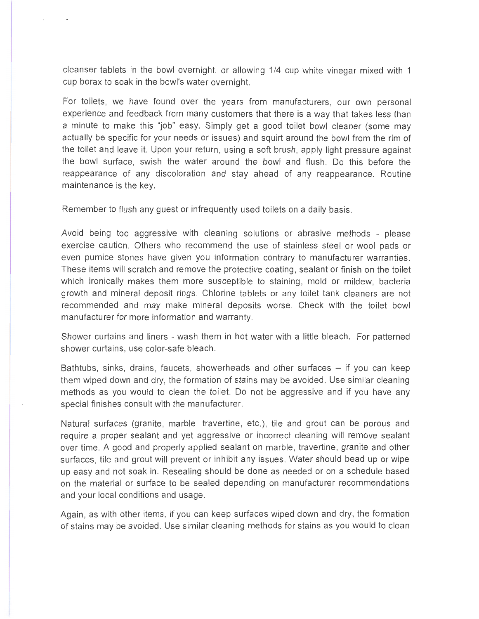cleanser tablets in the bowl overnight, or allowing 1 /4 cup white vinegar mixed with 1 cup borax to soak in the bowl's water overnight.

For toilets, we have found over the years from manufacturers, our own personal experience and feedback from many customers that there is a way that takes less than a minute to make this "job" easy. Simply get a good toilet bowl cleaner (some may actually be specific for your needs or issues) and squirt around the bowl from the rim of the toilet and leave it. Upon your return, using a soft brush, apply light pressure against the bowl surface, swish the water around the bowl and flush . Do this before the reappearance of any discoloration and stay ahead of any reappearance. Routine maintenance is the key.

Remember to flush any guest or infrequently used toilets on a daily basis.

Avoid being too aggressive with cleaning solutions or abrasive methods - please exercise caution. Others who recommend the use of stainless steel or wool pads or even pumice stones have given you information contrary to manufacturer warranties. These items will scratch and remove the protective coating , sealant or finish on the toilet which ironically makes them more susceptible to staining, mold or mildew, bacteria growth and mineral deposit rings . Chlorine tablets or any toilet tank cleaners are not recommended and may make mineral deposits worse. Check with the toilet bowl manufacturer for more information and warranty.

Shower curtains and liners - wash them in hot water with a little bleach. For patterned shower curtains, use color-safe bleach .

Bathtubs, sinks, drains, faucets, showerheads and other surfaces  $-$  if you can keep them wiped down and dry, the formation of stains may be avoided. Use similar cleaning methods as you would to clean the toilet. Do not be aggressive and if you have any special finishes consult with the manufacturer.

Natural surfaces (granite, marble, travertine, etc.), tile and grout can be porous and require a proper sealant and yet aggressive or incorrect cleaning will remove sealant over time. A good and properly applied sealant on marble, travertine, granite and other surfaces, tile and grout will prevent or inhibit any issues. Water should bead up or wipe up easy and not soak in . Resealing should be done as needed or on a schedule based on the material or surface to be sealed depending on manufacturer recommendations and your local conditions and usage.

Again, as with other items, if you can keep surfaces wiped down and dry, the formation of stains may be avoided . Use similar cleaning methods for stains as you would to clean